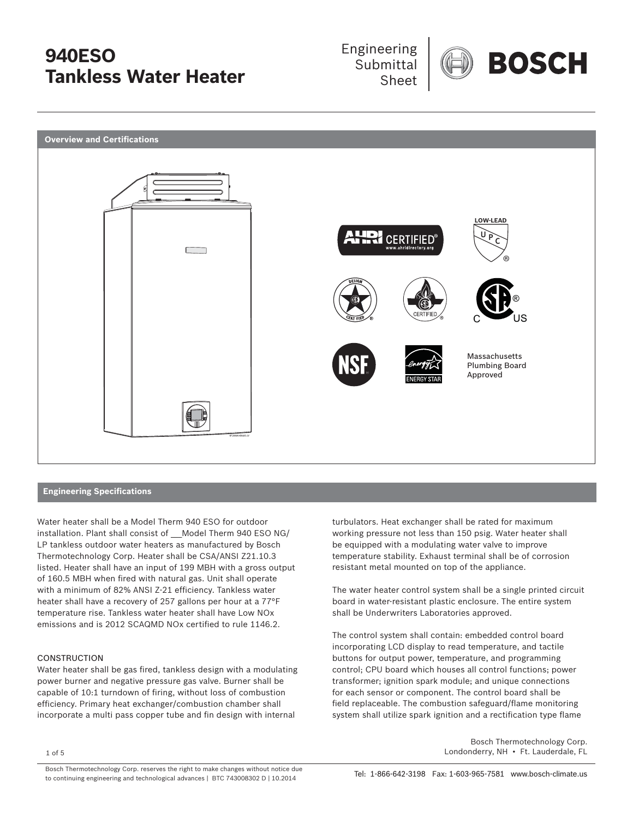



### **Engineering Specifications**

Water heater shall be a Model Therm 940 ESO for outdoor installation. Plant shall consist of Model Therm 940 ESO NG/ LP tankless outdoor water heaters as manufactured by Bosch Thermotechnology Corp. Heater shall be CSA/ANSI Z21.10.3 listed. Heater shall have an input of 199 MBH with a gross output of 160.5 MBH when fired with natural gas. Unit shall operate with a minimum of 82% ANSI Z-21 efficiency. Tankless water heater shall have a recovery of 257 gallons per hour at a 77°F temperature rise. Tankless water heater shall have Low NOx emissions and is 2012 SCAQMD NOx certified to rule 1146.2.

### **CONSTRUCTION**

Water heater shall be gas fired, tankless design with a modulating power burner and negative pressure gas valve. Burner shall be capable of 10:1 turndown of firing, without loss of combustion efficiency. Primary heat exchanger/combustion chamber shall incorporate a multi pass copper tube and fin design with internal

turbulators. Heat exchanger shall be rated for maximum working pressure not less than 150 psig. Water heater shall be equipped with a modulating water valve to improve temperature stability. Exhaust terminal shall be of corrosion resistant metal mounted on top of the appliance.

The water heater control system shall be a single printed circuit board in water-resistant plastic enclosure. The entire system shall be Underwriters Laboratories approved.

The control system shall contain: embedded control board incorporating LCD display to read temperature, and tactile buttons for output power, temperature, and programming control; CPU board which houses all control functions; power transformer; ignition spark module; and unique connections for each sensor or component. The control board shall be field replaceable. The combustion safeguard/flame monitoring system shall utilize spark ignition and a rectification type flame

 Bosch Thermotechnology Corp. 1 of 5 Londonderry, NH • Ft. Lauderdale, FL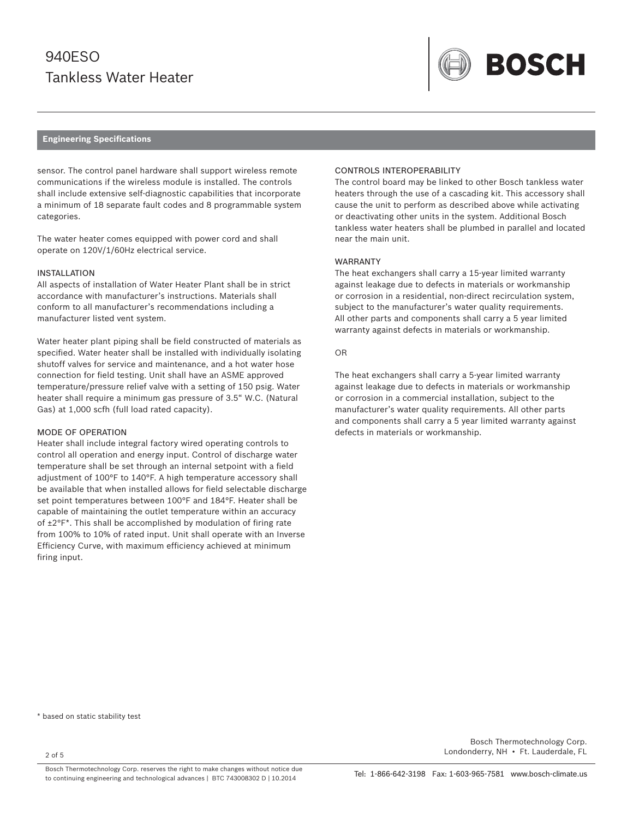

#### **Engineering Specifications**

sensor. The control panel hardware shall support wireless remote communications if the wireless module is installed. The controls shall include extensive self-diagnostic capabilities that incorporate a minimum of 18 separate fault codes and 8 programmable system categories.

The water heater comes equipped with power cord and shall operate on 120V/1/60Hz electrical service.

#### INSTALLATION

All aspects of installation of Water Heater Plant shall be in strict accordance with manufacturer's instructions. Materials shall conform to all manufacturer's recommendations including a manufacturer listed vent system.

Water heater plant piping shall be field constructed of materials as specified. Water heater shall be installed with individually isolating shutoff valves for service and maintenance, and a hot water hose connection for field testing. Unit shall have an ASME approved temperature/pressure relief valve with a setting of 150 psig. Water heater shall require a minimum gas pressure of 3.5" W.C. (Natural Gas) at 1,000 scfh (full load rated capacity).

#### MODE OF OPERATION

Heater shall include integral factory wired operating controls to control all operation and energy input. Control of discharge water temperature shall be set through an internal setpoint with a field adjustment of 100°F to 140°F. A high temperature accessory shall be available that when installed allows for field selectable discharge set point temperatures between 100°F and 184°F. Heater shall be capable of maintaining the outlet temperature within an accuracy of  $\pm 2^{\circ}F^*$ . This shall be accomplished by modulation of firing rate from 100% to 10% of rated input. Unit shall operate with an Inverse Efficiency Curve, with maximum efficiency achieved at minimum firing input.

#### CONTROLS INTEROPERABILITY

The control board may be linked to other Bosch tankless water heaters through the use of a cascading kit. This accessory shall cause the unit to perform as described above while activating or deactivating other units in the system. Additional Bosch tankless water heaters shall be plumbed in parallel and located near the main unit.

#### WARRANTY

The heat exchangers shall carry a 15-year limited warranty against leakage due to defects in materials or workmanship or corrosion in a residential, non-direct recirculation system, subject to the manufacturer's water quality requirements. All other parts and components shall carry a 5 year limited warranty against defects in materials or workmanship.

#### OR

The heat exchangers shall carry a 5-year limited warranty against leakage due to defects in materials or workmanship or corrosion in a commercial installation, subject to the manufacturer's water quality requirements. All other parts and components shall carry a 5 year limited warranty against defects in materials or workmanship.

\* based on static stability test

2 of 5

 Bosch Thermotechnology Corp. Londonderry, NH • Ft. Lauderdale, FL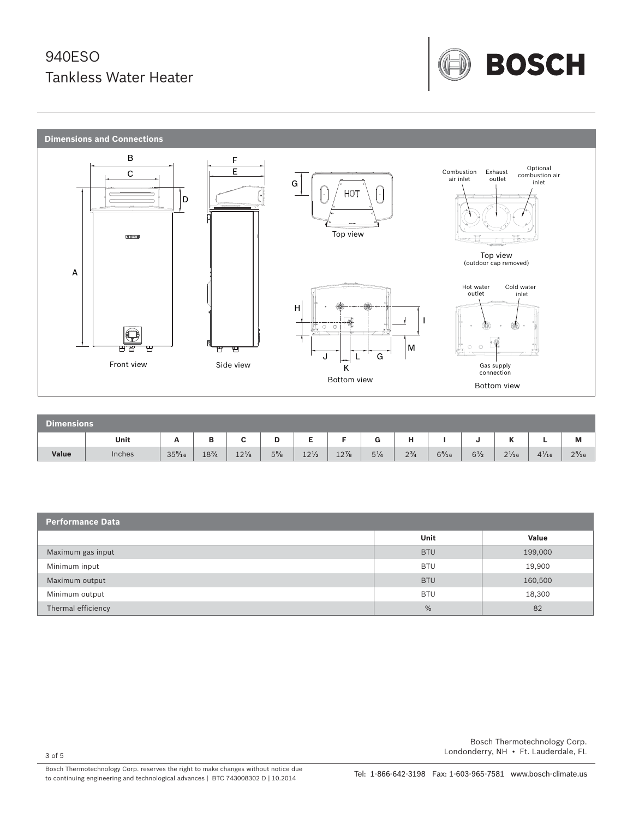



| Dimensions |        |                  |                 |                 |                |                 |        |                |              |                 |                |                     |                 |                 |
|------------|--------|------------------|-----------------|-----------------|----------------|-----------------|--------|----------------|--------------|-----------------|----------------|---------------------|-----------------|-----------------|
|            | Unit   | A                | B               | $\sim$<br>ັ     | D              | -               |        | G              | н            |                 | v              | $\overline{a}$<br>n |                 | M               |
| Value      | Inches | $35\frac{5}{16}$ | $18\frac{3}{4}$ | $12\frac{1}{8}$ | $5\frac{5}{8}$ | $12\frac{1}{2}$ | $12\%$ | $5\frac{1}{4}$ | $2^{3}/_{4}$ | $6\frac{5}{16}$ | $6\frac{1}{2}$ | $2\frac{1}{16}$     | $4\frac{1}{16}$ | $2\frac{5}{16}$ |

| <b>Performance Data</b> |               |         |  |  |  |
|-------------------------|---------------|---------|--|--|--|
|                         | Unit          | Value   |  |  |  |
| Maximum gas input       | <b>BTU</b>    | 199,000 |  |  |  |
| Minimum input           | <b>BTU</b>    | 19,900  |  |  |  |
| Maximum output          | <b>BTU</b>    | 160,500 |  |  |  |
| Minimum output          | <b>BTU</b>    | 18,300  |  |  |  |
| Thermal efficiency      | $\frac{0}{0}$ | 82      |  |  |  |

3 of 5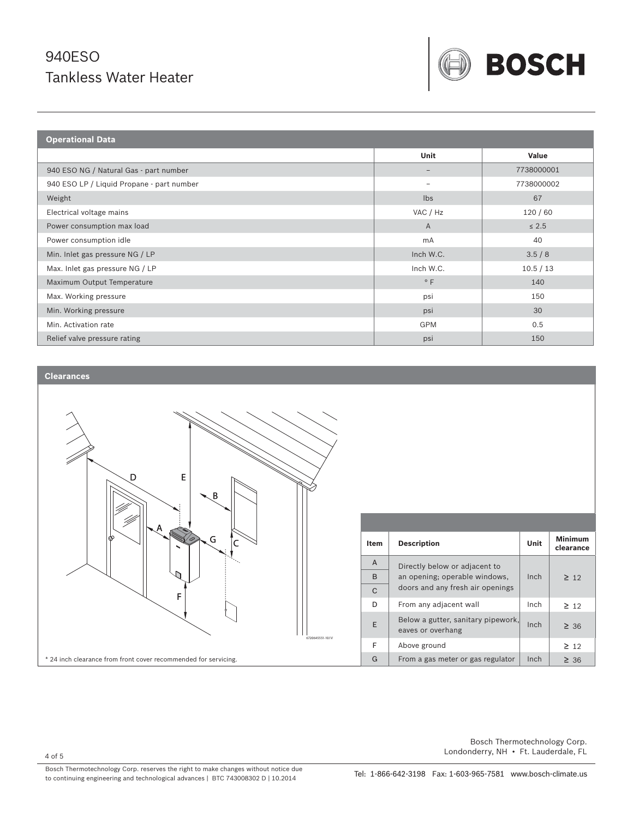

| <b>Operational Data</b>                   |                          |            |  |  |  |
|-------------------------------------------|--------------------------|------------|--|--|--|
|                                           | Unit                     | Value      |  |  |  |
| 940 ESO NG / Natural Gas - part number    | $\qquad \qquad -$        | 7738000001 |  |  |  |
| 940 ESO LP / Liquid Propane - part number | $\overline{\phantom{a}}$ | 7738000002 |  |  |  |
| Weight                                    | $\mathsf{lbs}$           | 67         |  |  |  |
| Electrical voltage mains                  | VAC / Hz                 | 120/60     |  |  |  |
| Power consumption max load                | $\overline{A}$           | $\leq 2.5$ |  |  |  |
| Power consumption idle                    | mA                       | 40         |  |  |  |
| Min. Inlet gas pressure NG / LP           | Inch W.C.                | 3.5/8      |  |  |  |
| Max. Inlet gas pressure NG / LP           | Inch W.C.                | 10.5 / 13  |  |  |  |
| Maximum Output Temperature                | $^{\circ}$ F             | 140        |  |  |  |
| Max. Working pressure                     | psi                      | 150        |  |  |  |
| Min. Working pressure                     | psi                      | 30         |  |  |  |
| Min. Activation rate                      | <b>GPM</b>               | 0.5        |  |  |  |
| Relief valve pressure rating              | psi                      | 150        |  |  |  |

### **Clearances**



Bosch Thermotechnology Corp. reserves the right to make changes without notice due to continuing engineering and technological advances | BTC 743008302 D | 10.2014 Tel: 1-866-642-3198 Fax: 1-603-965-7581 www.bosch-climate.us

 Bosch Thermotechnology Corp. Londonderry, NH • Ft. Lauderdale, FL